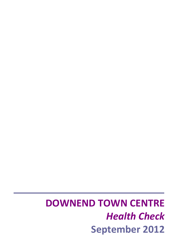# **DOWNEND TOWN CENTRE** *Health Check* **September 2012**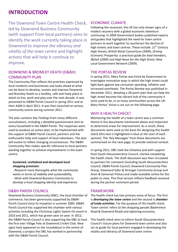## **INTRODUCTION**

The Downend Town Centre Health Check, led by Downend Business Community (with support from local partners) aims to identify the work currently taking place in Downend to *improve the vibrancy and vitality of the town centre* and highlight actions that will help it continue to improve.

## DOWNEND & BROMLEY HEATH (D&BH) COMMUNITY PLAN

The Community Plan reflects the priorities expressed by local residents and businesses and looks ahead at what can be done to develop, sustain and improve Downend and Bromley Heath as a healthy, safe and lively place in which to live, work and play over the next decade. It was presented to D&BH Parish Council in spring 2011 and at their AGM in April 2011. It was then launched at various community events during summer 2011.

The plan contains *Key Findings* from many different consultations, including a detailed questionnaire sent to every household in the D&BH Parish. The responses were used to produce an action plan, to be implemented with the support of D&BH Parish Council, partners and the enthusiastic help and support of local volunteers. The plan will evolve to reflect changing circumstances. The D&BH Community Plan makes specific reference to local partners working together to achieve improvements in the town centre:

## *Sustained, revitalised and developed local shopping provision:*

*‐ Research more thoroughly what the community wants in terms of viability and sustainability, ‐ Work with Downend Business Community to develop a local shopping identity and experience*

## D&BH PARISH COUNCIL

Downend Business Community (DBC), the local chamber of commerce, has been generously supported by D&BH Parish Council since its inception in summer 2009. D&BH Parish Council has supported the chamber with various activities including the Christmas Lights Switch‐On event in 2010 and 2011, which has grown year on year. In 2012, the D&BH Parish Council is also supporting the DBC to host the first ever Village Fete at Downend Cricket Club. New signs have appeared on the roundabout in the centre of Downend, a project the DBC has worked in partnership with the D&BH Parish Council.

## ECONOMIC CLIMATE

Following the recession, the UK has only shown signs of a modest recovery with a global economic downturn continuing. In 2009 Government bodies published reports and guides that highlighted the need for town centre partners to work together to counteract the decline of high streets and town centres. These include: *21st Century High Streets*, British Retail Consortium (2009), *Driving Economic Prosperity: a practical guide for lead members*, I&DeA (2009) and *High Noon for the High Street*, New Local Government Network (2009).

## THE PORTAS REVIEW

In spring 2011, Mary Portas was hired by Government to investigate innovative ways in which the high street could fight back against low consumer spending, inflation and increased overheads. The Portas Review was published in December 2011, detailing a 28‐point plan that can help the high street become the vibrant hub of the community it once used to be, in so many communities across the UK. Mary Portas' Vision is set out on the following page.

## WHY A HEALTH CHECK?

Monitoring the health of a town centre was a common theme in the documents mentioned above and important to determine areas for improvement. As a result, these documents were used as the basis for designing this health check (this text is highlighted in blue at the start of each section). The 'Key Messages' from these documents are summarised on the next page, to provide national context.

In spring 2011, DBC took the initiative and with support from South Gloucestershire Council, started completing the health check. The draft document was then circulated to partners for comment (including South Gloucestershire Council, D&BH Parish Council, Downend Community Plan Group, Downend Safer & Stronger Community Group and Avon & Somerset Police) and made available online for the public to view. This final version reflects feedback received during the partner comment period.

## FRAMEWORK

The health check has two primary areas of focus. The first is *developing the town centre* and the second is *chamber of trade activities*. For the purpose of this health check, **'**town centre' refers to the shopping parade (Badminton Road & Downend Road) and adjoining economy.

This health check aims to inform South Gloucestershire Council's future plans for Downend town centre and also act as guide for local partners engaged in developing the vitality and vibrancy of Downend town centre.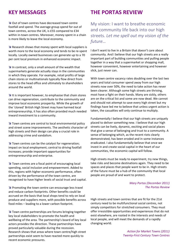Out of town centres have decreased town centre footfall and spend. The average group spend for out of town centres, across the UK, is £55 compared to £34 within in-town centres. Moreover, money spent in a chain is more likely to leave the local economy.

**N** Research shows that money spent with local suppliers is worth more to the local economy and tends to be re‐spent locally. Locally owned businesses can generate up to a 70 per cent local premium in enhanced economic impact.

In contrast, only a small amount of the wealth that supermarkets generate actually stays in the communities in which they operate. For example, retail profits of large chain stores or multinationals typically flow direct from stores to the head office and ultimately to shareholders around the world.

 $\blacktriangleright$  It is important however, to emphasise that chain stores can drive regeneration, contribute to the community and improve local economic prosperity. While the growth of the 'cloned' British High Street may have harmed local entrepreneurship, it has also often provided much needed inward investment to a community.

**N** Town centres are central to local environmental policy and street scene improvements. The aesthetic character of high streets and their design can play a crucial role in addressing crime and vandalism.

**N** Town centres can be the catalyst for regeneration; impact on local employment; central to driving footfall increases; provide important opportunities for entrepreneurship and enterprise.

**N** Town centres are a focal point of encouraging local spending, social inclusion and empowerment. Added to this, regions with higher economic performance, often driven by the performance of the town centre, are recognised to have higher levels of social trust and capital.

**Promoting the town centre can encourage less travel** and reduce carbon footprints. Other benefits could be accrued on the basis that local shops tend to rely on local produce and suppliers more, with possible benefits across food miles – leading to a lower carbon footprint.

**N** Town centre partnerships are forums bringing together key local stakeholders to promote the health and wellbeing of the area. The partnership's board of key local actors provides the direction. These partnerships have proved particularly valuable during the recession. Research shows that areas where town centre/high street partnerships exist seem to have reacted more quickly to recent economic pressures.

## **KEY MESSAGES THE PORTAS REVIEW**

My vision: I want to breathe economic and community life back into our high streets. *Let me spell out my vision of the future…*

I don't want to live in a Britain that doesn't care about community. And I believe that our high streets are a really important part of building communities and pulling people together in a way that a supermarket or shopping mall, however convenient, however entertaining and however slick, just never can.

With town centre vacancy rates doubling over the last two years and total consumer spend away from our high streets now over 50%, the need to take action has never been clearer. Although some high streets are thriving, most have a fight on their hands. Many are sickly, others are on the critical list and some are now dead. We cannot and should not attempt to save every high street but my findings have led me to believe that unless urgent action is taken, the casualties will only continue to multiply.

Fundamentally I believe that our high streets are uniquely placed to deliver something new. I believe that our high streets can be lively, dynamic, exciting and social places that give a sense of belonging and trust to a community. A sense of belonging which, as the recent riots clearly demonstrated, has been eroded and in some instances eradicated. I also fundamentally believe that once we invest in and create social capital in the heart of our communities, the economic capital will follow.

High streets must be ready to experiment, try new things, take risks and become destinations again. They need to be spaces and places that people want to be in. High streets of the future must be a hub of the community that local people are proud of and want to protect.

## *Mary Portas (December 2011) The Portas Review*

High streets and town centres that are fit for the 21st century need to be multifunctional social centres, not simply competitors for stretched consumers. They must offer irresistible opportunities and experiences that do not exist elsewhere, are rooted in the interests and needs of local people, and will meet the demands of a rapidly changing world.

> *Action for Market Towns (2011) Twenty‐First Century Town Centres*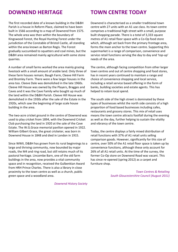The first recorded date of a known building in the D&BH Parish is a house in Reform Place, claimed to have been built in 1566 according to a map of Downend from 1575. The whole area was then within the boundary of Kingswood Forest, the Royal Hunting Forest under the jurisdiction of the Constable of Bristol Castle, all standing within the area known as Barton Regis. The Forest gradually succumbed to squatters and coal mines, but the D&BH area remained mainly agricultural with some stone quarries.

A number of small farms worked the area mainly grazing livestock with a small amount of arable land. Only three of these farm houses remain; Baugh Farm, Cleeve Hill Farm and Bromley Farm. There were a few larger houses in the area too. Cleeve Dale was demolished in the late 1960s. Cleeve Hill House was owned by the Players, Bragges and Caves and it was the Cave Family who bought up much of the land within the D&BH Parish. Cleeve Hill House was demolished in the 1930s after the sale of the Estate in the 1920s, which saw the beginning of large scale house building in the area.

The two-acre cricket ground in the centre of Downend was used to play cricket from 1894, with the Downend Cricket Club purchasing the land in 1920 at the sale of the Cave Estate. The W.G.Grace memorial pavilion opened in 1922. William Gilbert Grace, the great cricketer, was born in Downend House in 1848 and died in London in 1915.

Since WWII, D&BH has grown from its rural beginnings to a large and thriving community, now bounded by major roads, the M4 and ring road, but still retains much of its pastoral heritage. Lincombe Barn, one of the old farm buildings in the area, now provides a vital community space and in recognition, received the Gulbenkian Award from HRH Prince Charles. There is also a library in close proximity to the town centre as well as a church, public green space and a woodland area.

## **DOWNEND HERITAGE TOWN CENTRE TODAY**

Downend is characterised as a smaller traditional town centre with 27 units with an A1 use class. Its town centre comprises a traditional high street with a small, purpose built shopping parade. There is a total of 3,333 square metres of A1 retail floor space with a Co‐Op food store which, although set back from the primary frontage area, forms the main anchor to the town centre. Supporting this supermarket is a range of comparison, convenience and service retail functions serving the day to day and 'top-up' needs of the area.

The centre, although facing competition from other larger town centres and out of centre shopping and food stores, has in recent years continued to maintain a range and choice of convenience shopping and local service, including a retail service based offering in the form of banks, building societies and estate agents. This has helped to retain local spend.

The south side of the high street is dominated by these types of businesses whilst the north side consists of a high proportion of food based businesses including cafes, restaurants and grocery stores. This mix of retail uses means the town centre attracts footfall during the evening as well as the day, further helping to sustain the vitality and vibrancy of the town centre.

Today, the centre displays a fairly mixed distribution of retail functions with 37% of A1 retail units selling comparison goods. However, significantly for this size of centre, over 50% of the A1 retail floor space is taken up by convenience functions, although these only account for 26% of all A1 retail units. At the time of the survey, the former Co‐Op store on Downend Road was vacant. This has since re‐opened (spring 2012) as a carpet and furniture shop.

> *Town Centres & Retailing South Gloucestershire Council (August 2011)*

*Downend History Society*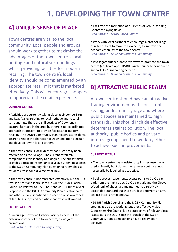# **1. DEVELOPING THE TOWN CENTRE**

## **A] UNIQUE SENSE OF PLACE**

Town centres are vital to the local community. Local people and groups should work together to maximise the advantages of the town centre's local heritage and natural surroundings whilst providing facilities for modern retailing. The town centre's local identity should be complemented by an appropriate retail mix that is marketed effectively. This will encourage shoppers to appreciate the retail experience.

## **CURRENT STATUS**

 Activities are currently taking place at Lincombe Barn and Leap Valley relating to local heritage and natural surroundings. There are still vestiges of Downend's pastoral heritage in the area but there is no 'coordinated' approach at present, to provide facilities for modern retailing. The D&BH Community Plan recognises residents' desire to retain the character of Downend and to sustain and develop it with local partners.

**The town centre's local identity has historically been** referred to as the 'village'. The current retail mix complements this identity to a degree. The cricket pitch provides a focal point similar to a village green. Responses to the D&BH Community Plan questionnaire emphasise residents' wish for a diverse retail mix.

 The town centre is not marketed effectively but the DBC flyer is a start and is circulated inside the D&BH Parish Council newsletter to 5,500 households, 3‐4 times a year. Responses to the D&BH Community Plan questionnaire and other surveys identified the need to raise awareness of facilities, shops and activities that exist in Downend.

## **FUTURE ACTIONS**

 Encourage Downend History Society to help set the historical context of the town centre, to aid joint promotions.

*Lead Partner – Downend History Society*

 Facilitate the formation of a 'Friends of Group' for King George V playing fields. *Lead Partner – D&BH Parish Council*

 Work with local partners to encourage a broader range of retail outlets to move to Downend, to improve the economic viability of the town centre. *Lead Partner – Downend Business Community*

• Investigate further innovative ways to promote the town centre (i.e. Town App). D&BH Parish Council to continue to support DBC's marketing activities.

*Lead Partner – Downend Business Community*

## **B] ATTRACTIVE PUBLIC REALM**

A town centre should have an attractive trading environment with consistent styling, pedestrian signage and where public spaces are maintained to high standards. This should include effective deterrents against pollution. The local authority, public bodies and private interest groups need to work together to achieve such improvements.

### **CURRENT STATUS**

- **The town centre has consistent styling because it was** predominantly built during the same era but it cannot necessarily be labelled as attractive.
- Public spaces (pavements, access paths to Co-Op car park from the high street, Co‐Op car park and the Cleeve Wood rank of shops) are maintained to a relatively acceptable standard but there are few deterrents if any, against litter, graffiti and ASB.

 D&BH Parish Council and the D&BH Community Plan steering group are working together effectively. South Gloucestershire Council is also supportive of relevant local issues, as is the DBC. Since the launch of the D&BH Community Plan, some actions have already been achieved.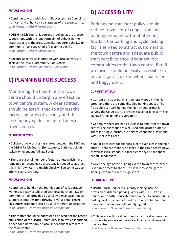Continue to work with South Gloucestershire Council to maintain and enhance visual aspects of the town centre. *Lead Partner – D&BH Parish Council*

 D&BH Parish Council is currently looking at the Cleeve Wood shops with the long term aim of enhancing the visual aspects of the area. Consultation during the D&BH Community Plan suggested a 'Big Spring Clean'. *Lead Partner – D&BH Parish Council*

 Encourage active collaboration with local partners to achieve the D&BH Community Plan's goals. *Lead Partner – D&BH Community Plan Group*

## **C] PLANNING FOR SUCCESS**

Monitoring the health of the town centre should underpin any effective town centre system. A clear strategy should be established to address the increasing rates of vacancy and the accompanying decline in fortunes of town centres.

### **CURRENT STATUS**

 Collaborative working has started between the DBC and the D&BH Parish Council (for example, Christmas Lights switch-on event and Village Fete).

 There are a small number of retail outlets which have remained un‐occupied so a strategy is needed to address this. This Town Centre Health Check will go some way to inform such a strategy.

### **FUTURE ACTIONS**

 Continue to build on the foundations of collaborative working (already established with local partners). D&BH Community Plan provides a useful evidence base that can support aspirations for a thriving, diverse retail centre. This information may also be useful for grant applications. *Lead Partner – Downend Business Community*

 This matter should be addressed as a result of the recent publication of the D&BH Community Plan, which identified a need for a better mix of local, independent retailers in the town centre.

*Lead Partner – Downend Business Community*

## **D**] **ACCESSIBILITY**

Parking and transport policy should reduce town centre congestion and parking demands without affecting footfall. Car parking and cycle locking facilities need to attract customers to the town centre and adequate public transport links should connect local communities to the town centre. Retail premises should be easily accessible to encourage visits from wheelchair users and buggy users.

### **CURRENT STATUS**

■ Current on-street parking is generally good in the high street and there are some disabled parking spaces. The free public car park behind the high street, primarily serving the Co-Op store, provides space for long-term stay. Signage for all parking is very poor.

Generally, there are good bus links to and from the town centre. The bus stops are well‐used and located suitably. There is a single journey bus service connecting Downend with Emersons Green.

 No facilities exist for charging electric vehicles in the high street. There are more cycle lanes in the town centre now, as well as cycle stands, but facilities for cyclist‐shoppers are still inadequate.

Given the age of the buildings in the town centre, there is variable access to shops. This is due to some gently sloping pavements in the high street.

### **FUTURE ACTIONS**

 D&BH Parish Council is currently looking into the provision of disabled parking. Work with D&BH Parish Council and South Gloucestershire Council to ensure public parking facilities in and around the town centre continue to remain free and are adequately signed. *Lead Partner – Downend Business Community*

 Collaborate with local community transport schemes and providers to encourage more direct routes to Downend town centre.

*Lead Partner – Downend Business Community*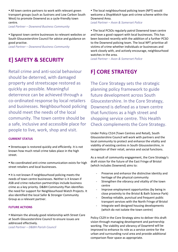All town centre partners to work with relevant green transport groups (such as Sustrans and Low Carbon South West) to promote Downend as a cycle-friendly town centre.

*Lead Partner – Downend Business Community*

• Signpost town centre businesses to relevant websites or South Gloucestershire Council for advice and guidance on good practise.

*Lead Partner – Downend Business Community*

## **E] SAFETY & SECURITY**

Retail crime and anti‐social behaviour should be deterred, with damaged property and streetscape restored as quickly as possible. Meaningful deterrence can be achieved through a co‐ordinated response by local retailers and businesses. Neighbourhood policing should meet the needs of the local community. The town centre should be a safe, inclusive and accessible place for people to live, work, shop and visit.

### **CURRENT STATUS**

 Streetscape is restored quickly and efficiently. It is not known how much retail crime takes place in the high street.

■ No coordinated anti-crime communication exists for high street retailers and local businesses.

It is not known if neighbourhood policing meets the needs of town centre businesses. Neither is it known if ASB and crime reduction partnerships include business crime as a key priority. D&BH Community Plan identifies the need for support for Neighbourhood Watch Projects. It also identified the local Safer & Stronger Community Group as a relevant partner.

## **FUTURE ACTIONS**

 Maintain the already good relationship with Street Care at South Gloucestershire Council to ensure issues are addressed effectively.

*Lead Partner – D&BH Parish Council*

 The local neighbourhood policing team (NPT) would welcome a *ShopWatch* type anti‐crime scheme within the Downend Area.

*Lead Partner – Avon & Somerset Police*

 The local PCSOs regularly patrol Downend town centre and have a good rapport with local businesses. This has been boosted recently with the addition of a further PCSO to the Downend policing team. The local NPT prioritise all victims of crime whether individuals or businesses and work closely with, and actively encourage, neighbourhood watches in the area.

*Lead Partner – Avon & Somerset Police*

## **F] CORE STRATEGY**

The Core Strategy sets the strategic planning policy framework to guide future development across South Gloucestershire. In the Core Strategy, Downend is defined as a town centre that functions as a high street and shopping service centre. This Health Check complements the Core Strategy.

Under Policy CS14 (Town Centres and Retail), South Gloucestershire Council will work with partners and the local community to protect and enhance the vitality and viability of existing centres in South Gloucestershire, in recognition of their retail, service and social functions.

As a result of community engagement, the Core Strategy's draft vision for the future of the East Fringe of Bristol (which includes Downend) aims to:

- ‐ Preserve and enhance the distinctive identity and heritage of the physical community
- ‐ Strengthen the vibrancy and vitality of the town centre
- Improve employment opportunities (by being in close proximity to the Bristol & Bath Science Park)
- ‐ Develop reliable, punctual and frequent public transport services with the North Fringe of Bristol
- ‐ Integrate well designed housing developments (which do not isolate the town centre)

Policy CS29 in the Core Strategy aims to deliver this draft vision through managing development and partnership working. The viability and vibrancy of Downend will be improved to enhance its role as a service centre for the urban and surrounding rural area and provide additional comparison floor space as appropriate.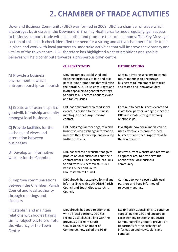# **2. CHAMBER OF TRADE ACTIVITIES**

Downend Business Community (DBC) was formed in 2009. DBC is a chamber of trade which encourages businesses in the Downend & Bromley Heath area to meet regularly, gain access to business support, trade with each other and promote the local economy. The Key Messages section of this health check identified the need for a strong and active chamber of trade to be in place and work with local partners to undertake activities that will improve the vibrancy and vitality of the town centre. DBC therefore has highlighted a set of ambitions and goals it believes will help contribute towards a prosperous town centre.

## **CURRENT STATUS FUTURE ACTIONS**

## A] Provide a business environment in which entrepreneurship can flourish

B] Create and foster a spirit of goodwill, friendship and unity amongst local businesses

C] Provide facilities for the exchange of views and interaction between businesses

D] Develop an informative website for the Chamber

E] Improve communications between the Chamber, Parish Council and local authority through meetings and circulars

F] Establish and maintain relations with bodies having similar objectives to promote the vibrancy of the Town **Centre** 

DBC encourages established and fledgling businesses to join and take part in joint promotions that will raise their profile. DBC also encourages and invites speakers to general meetings to address businesses about relevant and topical issues.

DBC has deliberately created social events in addition to the business meetings to encourage informal contact.

DBC holds regular meetings, at which businesses can exchange information, improve their knowledge and develop further contacts.

DBC has created a website that gives profiles of local businesses and their contact details. The website has links to and from Business West, D&BH Parish Council and South Gloucestershire Council.

DBC already has extensive formal and informal links with both D&BH Parish Council and South Gloucestershire Council.

DBC already has good relationships with all local partners. DBC has recently established a link with the previously dormant South Gloucestershire Chamber of Commerce, now called the SGBF.

Continue inviting speakers to attend future meetings to encourage businesses to implement both tried and tested and innovative ideas.

Continue to host business events and invite local partners along to meet the DBC and create stronger working relationships.

Investigate how social media can be used effectively to promote local businesses and encourage footfall to the town centre.

Review current website and redevelop as appropriate, to best serve the needs of the local business community.

Continue to work closely with local partners and keep informed of relevant meetings.

D&BH Parish Council aims to continue supporting the DBC and encourage close working relationships. D&BH Community Plan group to provide an opportunity for the exchange of information and views, plans and contacts.